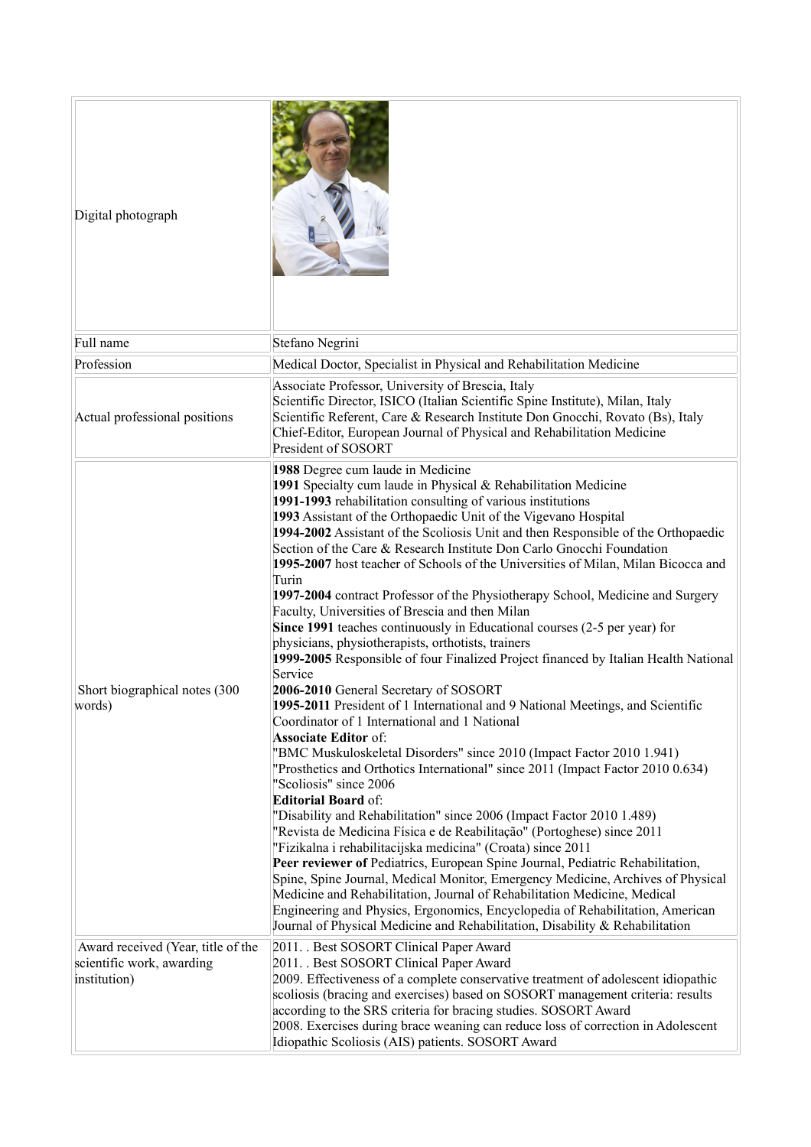| Digital photograph                                                              |                                                                                                                                                                                                                                                                                                                                                                                                                                                                                                                                                                                                                                                                                                                                                                                                                                                                                                                                                                                                                                                                                                                                                                                                                                                                                                                                                                                                                                                                                                                                                                                                                                                                                                                                                                                                                                                                                                                                                |
|---------------------------------------------------------------------------------|------------------------------------------------------------------------------------------------------------------------------------------------------------------------------------------------------------------------------------------------------------------------------------------------------------------------------------------------------------------------------------------------------------------------------------------------------------------------------------------------------------------------------------------------------------------------------------------------------------------------------------------------------------------------------------------------------------------------------------------------------------------------------------------------------------------------------------------------------------------------------------------------------------------------------------------------------------------------------------------------------------------------------------------------------------------------------------------------------------------------------------------------------------------------------------------------------------------------------------------------------------------------------------------------------------------------------------------------------------------------------------------------------------------------------------------------------------------------------------------------------------------------------------------------------------------------------------------------------------------------------------------------------------------------------------------------------------------------------------------------------------------------------------------------------------------------------------------------------------------------------------------------------------------------------------------------|
| Full name                                                                       | Stefano Negrini                                                                                                                                                                                                                                                                                                                                                                                                                                                                                                                                                                                                                                                                                                                                                                                                                                                                                                                                                                                                                                                                                                                                                                                                                                                                                                                                                                                                                                                                                                                                                                                                                                                                                                                                                                                                                                                                                                                                |
| Profession                                                                      | Medical Doctor, Specialist in Physical and Rehabilitation Medicine                                                                                                                                                                                                                                                                                                                                                                                                                                                                                                                                                                                                                                                                                                                                                                                                                                                                                                                                                                                                                                                                                                                                                                                                                                                                                                                                                                                                                                                                                                                                                                                                                                                                                                                                                                                                                                                                             |
| Actual professional positions                                                   | Associate Professor, University of Brescia, Italy<br>Scientific Director, ISICO (Italian Scientific Spine Institute), Milan, Italy<br>Scientific Referent, Care & Research Institute Don Gnocchi, Rovato (Bs), Italy<br>Chief-Editor, European Journal of Physical and Rehabilitation Medicine<br>President of SOSORT                                                                                                                                                                                                                                                                                                                                                                                                                                                                                                                                                                                                                                                                                                                                                                                                                                                                                                                                                                                                                                                                                                                                                                                                                                                                                                                                                                                                                                                                                                                                                                                                                          |
| Short biographical notes (300<br>words)                                         | 1988 Degree cum laude in Medicine<br>1991 Specialty cum laude in Physical & Rehabilitation Medicine<br>1991-1993 rehabilitation consulting of various institutions<br>1993 Assistant of the Orthopaedic Unit of the Vigevano Hospital<br>1994-2002 Assistant of the Scoliosis Unit and then Responsible of the Orthopaedic<br>Section of the Care & Research Institute Don Carlo Gnocchi Foundation<br>1995-2007 host teacher of Schools of the Universities of Milan, Milan Bicocca and<br>Turin<br>1997-2004 contract Professor of the Physiotherapy School, Medicine and Surgery<br>Faculty, Universities of Brescia and then Milan<br>Since 1991 teaches continuously in Educational courses (2-5 per year) for<br>physicians, physiotherapists, orthotists, trainers<br>1999-2005 Responsible of four Finalized Project financed by Italian Health National<br>Service<br>2006-2010 General Secretary of SOSORT<br>1995-2011 President of 1 International and 9 National Meetings, and Scientific<br>Coordinator of 1 International and 1 National<br><b>Associate Editor of:</b><br>"BMC Muskuloskeletal Disorders" since 2010 (Impact Factor 2010 1.941)<br>"Prosthetics and Orthotics International" since 2011 (Impact Factor 2010 0.634)<br>"Scoliosis" since 2006<br><b>Editorial Board of:</b><br>"Disability and Rehabilitation" since 2006 (Impact Factor 2010 1.489)<br>"Revista de Medicina Física e de Reabilitação" (Portoghese) since 2011<br>"Fizikalna i rehabilitacijska medicina" (Croata) since 2011<br>Peer reviewer of Pediatrics, European Spine Journal, Pediatric Rehabilitation,<br>Spine, Spine Journal, Medical Monitor, Emergency Medicine, Archives of Physical<br>Medicine and Rehabilitation, Journal of Rehabilitation Medicine, Medical<br>Engineering and Physics, Ergonomics, Encyclopedia of Rehabilitation, American<br>Journal of Physical Medicine and Rehabilitation, Disability & Rehabilitation |
| Award received (Year, title of the<br>scientific work, awarding<br>institution) | 2011. . Best SOSORT Clinical Paper Award<br>2011. . Best SOSORT Clinical Paper Award<br>2009. Effectiveness of a complete conservative treatment of adolescent idiopathic<br>scoliosis (bracing and exercises) based on SOSORT management criteria: results<br>according to the SRS criteria for bracing studies. SOSORT Award<br>2008. Exercises during brace weaning can reduce loss of correction in Adolescent<br>Idiopathic Scoliosis (AIS) patients. SOSORT Award                                                                                                                                                                                                                                                                                                                                                                                                                                                                                                                                                                                                                                                                                                                                                                                                                                                                                                                                                                                                                                                                                                                                                                                                                                                                                                                                                                                                                                                                        |